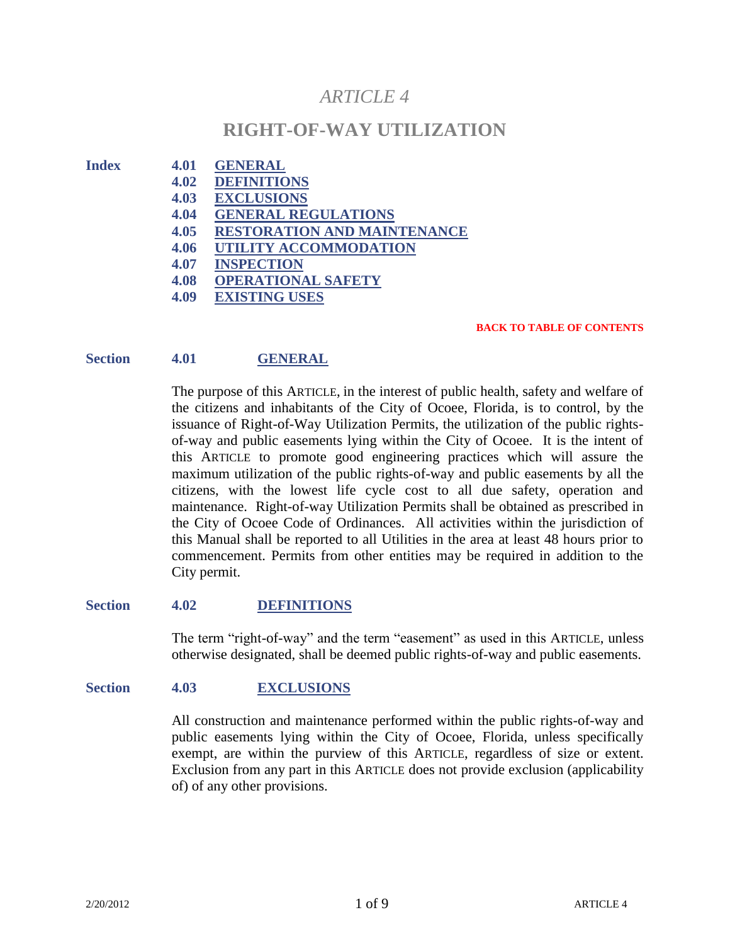# *ARTICLE 4*

## **RIGHT-OF-WAY UTILIZATION**

- **Index 4.01 GENERAL**
	- **4.02 DEFINITIONS**
	- **4.03 EXCLUSIONS**
	- **4.04 GENERAL REGULATIONS**
	- **4.05 RESTORATION AND MAINTENANCE**
	- **4.06 UTILITY ACCOMMODATION**
	- **4.07 INSPECTION**
	- **4.08 OPERATIONAL SAFETY**
	- **4.09 EXISTING USES**

#### **BACK TO TABLE OF CONTENTS**

## **Section 4.01 GENERAL**

The purpose of this ARTICLE, in the interest of public health, safety and welfare of the citizens and inhabitants of the City of Ocoee, Florida, is to control, by the issuance of Right-of-Way Utilization Permits, the utilization of the public rightsof-way and public easements lying within the City of Ocoee. It is the intent of this ARTICLE to promote good engineering practices which will assure the maximum utilization of the public rights-of-way and public easements by all the citizens, with the lowest life cycle cost to all due safety, operation and maintenance. Right-of-way Utilization Permits shall be obtained as prescribed in the City of Ocoee Code of Ordinances. All activities within the jurisdiction of this Manual shall be reported to all Utilities in the area at least 48 hours prior to commencement. Permits from other entities may be required in addition to the City permit.

## **Section 4.02 DEFINITIONS**

The term "right-of-way" and the term "easement" as used in this ARTICLE, unless otherwise designated, shall be deemed public rights-of-way and public easements.

## **Section 4.03 EXCLUSIONS**

All construction and maintenance performed within the public rights-of-way and public easements lying within the City of Ocoee, Florida, unless specifically exempt, are within the purview of this ARTICLE, regardless of size or extent. Exclusion from any part in this ARTICLE does not provide exclusion (applicability of) of any other provisions.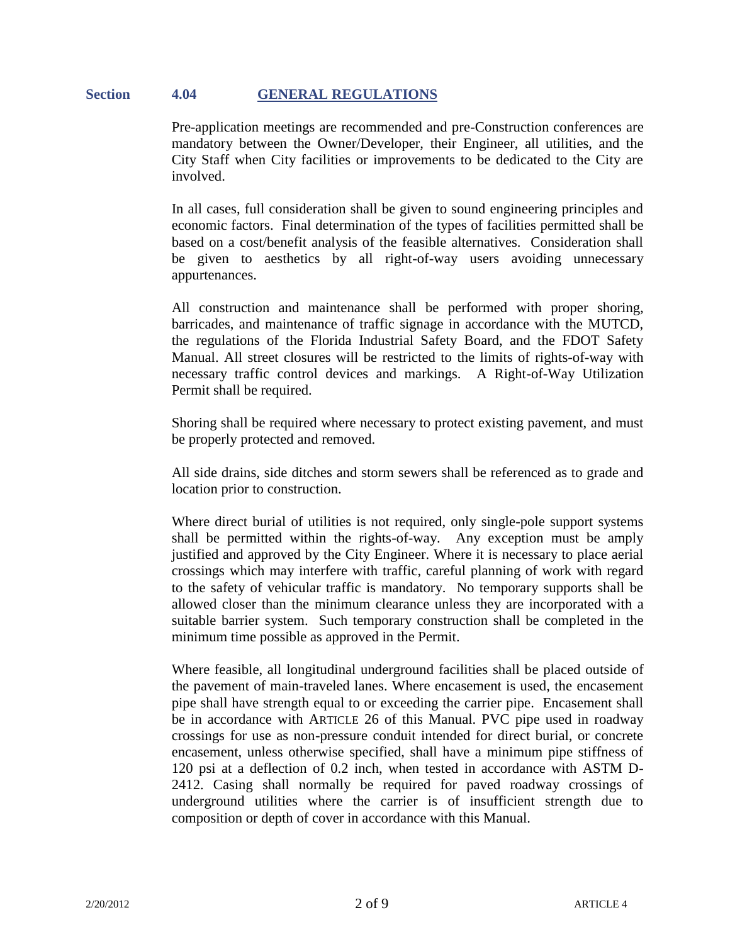#### **Section 4.04 GENERAL REGULATIONS**

Pre-application meetings are recommended and pre-Construction conferences are mandatory between the Owner/Developer, their Engineer, all utilities, and the City Staff when City facilities or improvements to be dedicated to the City are involved.

In all cases, full consideration shall be given to sound engineering principles and economic factors. Final determination of the types of facilities permitted shall be based on a cost/benefit analysis of the feasible alternatives. Consideration shall be given to aesthetics by all right-of-way users avoiding unnecessary appurtenances.

All construction and maintenance shall be performed with proper shoring, barricades, and maintenance of traffic signage in accordance with the MUTCD, the regulations of the Florida Industrial Safety Board, and the FDOT Safety Manual. All street closures will be restricted to the limits of rights-of-way with necessary traffic control devices and markings. A Right-of-Way Utilization Permit shall be required.

Shoring shall be required where necessary to protect existing pavement, and must be properly protected and removed.

All side drains, side ditches and storm sewers shall be referenced as to grade and location prior to construction.

Where direct burial of utilities is not required, only single-pole support systems shall be permitted within the rights-of-way. Any exception must be amply justified and approved by the City Engineer. Where it is necessary to place aerial crossings which may interfere with traffic, careful planning of work with regard to the safety of vehicular traffic is mandatory. No temporary supports shall be allowed closer than the minimum clearance unless they are incorporated with a suitable barrier system. Such temporary construction shall be completed in the minimum time possible as approved in the Permit.

Where feasible, all longitudinal underground facilities shall be placed outside of the pavement of main-traveled lanes. Where encasement is used, the encasement pipe shall have strength equal to or exceeding the carrier pipe. Encasement shall be in accordance with ARTICLE 26 of this Manual. PVC pipe used in roadway crossings for use as non-pressure conduit intended for direct burial, or concrete encasement, unless otherwise specified, shall have a minimum pipe stiffness of 120 psi at a deflection of 0.2 inch, when tested in accordance with ASTM D-2412. Casing shall normally be required for paved roadway crossings of underground utilities where the carrier is of insufficient strength due to composition or depth of cover in accordance with this Manual.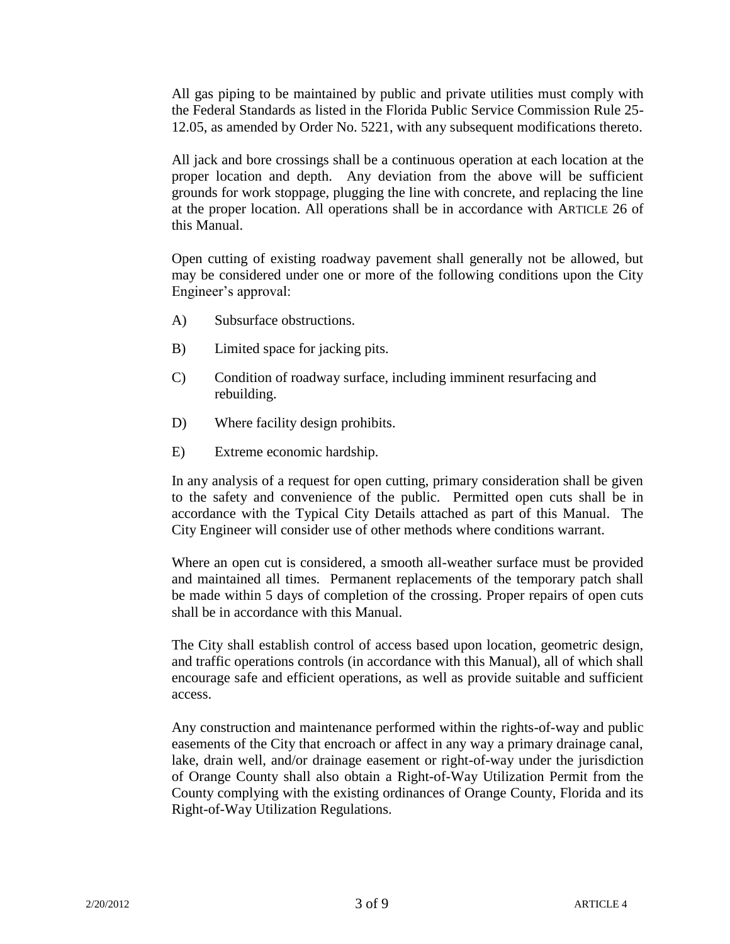All gas piping to be maintained by public and private utilities must comply with the Federal Standards as listed in the Florida Public Service Commission Rule 25- 12.05, as amended by Order No. 5221, with any subsequent modifications thereto.

All jack and bore crossings shall be a continuous operation at each location at the proper location and depth. Any deviation from the above will be sufficient grounds for work stoppage, plugging the line with concrete, and replacing the line at the proper location. All operations shall be in accordance with ARTICLE 26 of this Manual.

Open cutting of existing roadway pavement shall generally not be allowed, but may be considered under one or more of the following conditions upon the City Engineer's approval:

- A) Subsurface obstructions.
- B) Limited space for jacking pits.
- C) Condition of roadway surface, including imminent resurfacing and rebuilding.
- D) Where facility design prohibits.
- E) Extreme economic hardship.

In any analysis of a request for open cutting, primary consideration shall be given to the safety and convenience of the public. Permitted open cuts shall be in accordance with the Typical City Details attached as part of this Manual. The City Engineer will consider use of other methods where conditions warrant.

Where an open cut is considered, a smooth all-weather surface must be provided and maintained all times. Permanent replacements of the temporary patch shall be made within 5 days of completion of the crossing. Proper repairs of open cuts shall be in accordance with this Manual.

The City shall establish control of access based upon location, geometric design, and traffic operations controls (in accordance with this Manual), all of which shall encourage safe and efficient operations, as well as provide suitable and sufficient access.

Any construction and maintenance performed within the rights-of-way and public easements of the City that encroach or affect in any way a primary drainage canal, lake, drain well, and/or drainage easement or right-of-way under the jurisdiction of Orange County shall also obtain a Right-of-Way Utilization Permit from the County complying with the existing ordinances of Orange County, Florida and its Right-of-Way Utilization Regulations.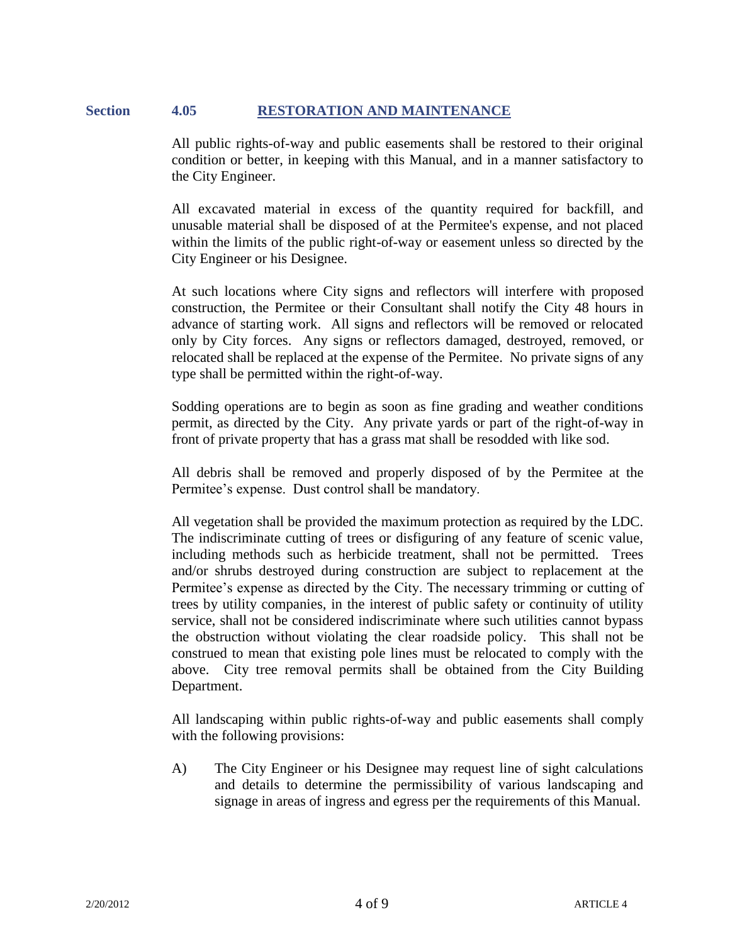## **Section 4.05 RESTORATION AND MAINTENANCE**

All public rights-of-way and public easements shall be restored to their original condition or better, in keeping with this Manual, and in a manner satisfactory to the City Engineer.

All excavated material in excess of the quantity required for backfill, and unusable material shall be disposed of at the Permitee's expense, and not placed within the limits of the public right-of-way or easement unless so directed by the City Engineer or his Designee.

At such locations where City signs and reflectors will interfere with proposed construction, the Permitee or their Consultant shall notify the City 48 hours in advance of starting work. All signs and reflectors will be removed or relocated only by City forces. Any signs or reflectors damaged, destroyed, removed, or relocated shall be replaced at the expense of the Permitee. No private signs of any type shall be permitted within the right-of-way.

Sodding operations are to begin as soon as fine grading and weather conditions permit, as directed by the City. Any private yards or part of the right-of-way in front of private property that has a grass mat shall be resodded with like sod.

All debris shall be removed and properly disposed of by the Permitee at the Permitee's expense. Dust control shall be mandatory.

All vegetation shall be provided the maximum protection as required by the LDC. The indiscriminate cutting of trees or disfiguring of any feature of scenic value, including methods such as herbicide treatment, shall not be permitted. Trees and/or shrubs destroyed during construction are subject to replacement at the Permitee's expense as directed by the City. The necessary trimming or cutting of trees by utility companies, in the interest of public safety or continuity of utility service, shall not be considered indiscriminate where such utilities cannot bypass the obstruction without violating the clear roadside policy. This shall not be construed to mean that existing pole lines must be relocated to comply with the above. City tree removal permits shall be obtained from the City Building Department.

All landscaping within public rights-of-way and public easements shall comply with the following provisions:

A) The City Engineer or his Designee may request line of sight calculations and details to determine the permissibility of various landscaping and signage in areas of ingress and egress per the requirements of this Manual.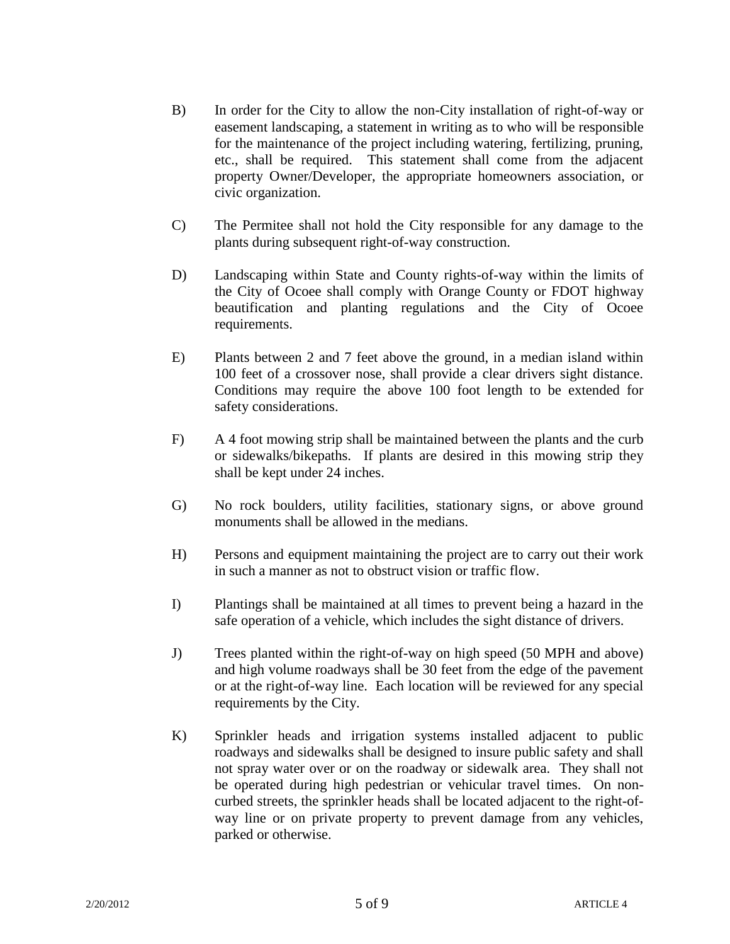- B) In order for the City to allow the non-City installation of right-of-way or easement landscaping, a statement in writing as to who will be responsible for the maintenance of the project including watering, fertilizing, pruning, etc., shall be required. This statement shall come from the adjacent property Owner/Developer, the appropriate homeowners association, or civic organization.
- C) The Permitee shall not hold the City responsible for any damage to the plants during subsequent right-of-way construction.
- D) Landscaping within State and County rights-of-way within the limits of the City of Ocoee shall comply with Orange County or FDOT highway beautification and planting regulations and the City of Ocoee requirements.
- E) Plants between 2 and 7 feet above the ground, in a median island within 100 feet of a crossover nose, shall provide a clear drivers sight distance. Conditions may require the above 100 foot length to be extended for safety considerations.
- F) A 4 foot mowing strip shall be maintained between the plants and the curb or sidewalks/bikepaths. If plants are desired in this mowing strip they shall be kept under 24 inches.
- G) No rock boulders, utility facilities, stationary signs, or above ground monuments shall be allowed in the medians.
- H) Persons and equipment maintaining the project are to carry out their work in such a manner as not to obstruct vision or traffic flow.
- I) Plantings shall be maintained at all times to prevent being a hazard in the safe operation of a vehicle, which includes the sight distance of drivers.
- J) Trees planted within the right-of-way on high speed (50 MPH and above) and high volume roadways shall be 30 feet from the edge of the pavement or at the right-of-way line. Each location will be reviewed for any special requirements by the City.
- K) Sprinkler heads and irrigation systems installed adjacent to public roadways and sidewalks shall be designed to insure public safety and shall not spray water over or on the roadway or sidewalk area. They shall not be operated during high pedestrian or vehicular travel times. On noncurbed streets, the sprinkler heads shall be located adjacent to the right-ofway line or on private property to prevent damage from any vehicles, parked or otherwise.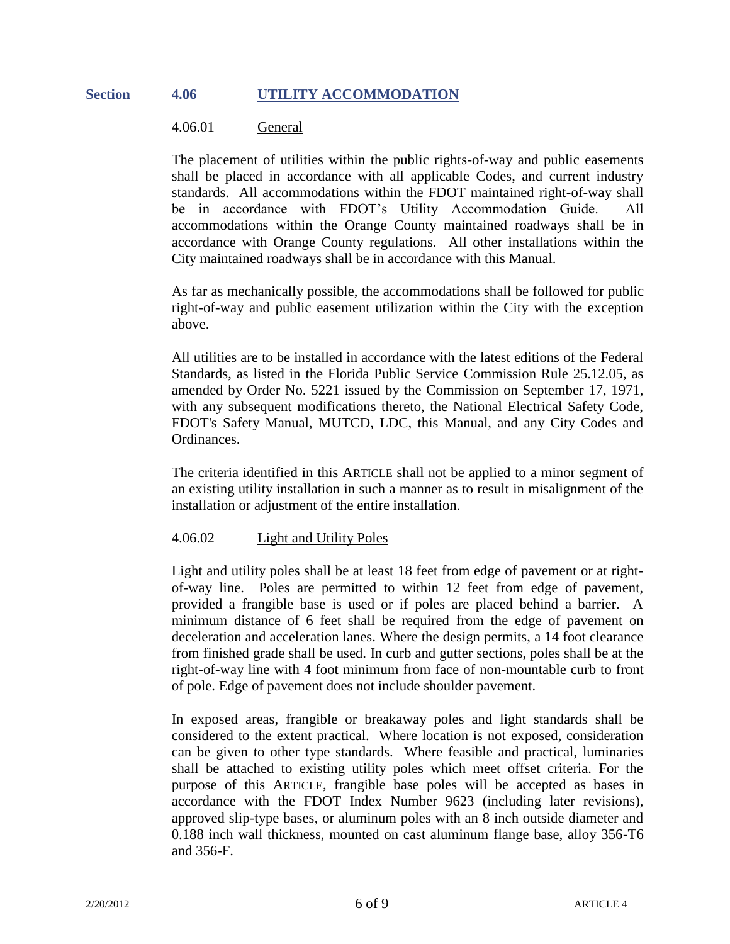#### **Section 4.06 UTILITY ACCOMMODATION**

#### 4.06.01 General

The placement of utilities within the public rights-of-way and public easements shall be placed in accordance with all applicable Codes, and current industry standards. All accommodations within the FDOT maintained right-of-way shall be in accordance with FDOT's Utility Accommodation Guide. All accommodations within the Orange County maintained roadways shall be in accordance with Orange County regulations. All other installations within the City maintained roadways shall be in accordance with this Manual.

As far as mechanically possible, the accommodations shall be followed for public right-of-way and public easement utilization within the City with the exception above.

All utilities are to be installed in accordance with the latest editions of the Federal Standards, as listed in the Florida Public Service Commission Rule 25.12.05, as amended by Order No. 5221 issued by the Commission on September 17, 1971, with any subsequent modifications thereto, the National Electrical Safety Code, FDOT's Safety Manual, MUTCD, LDC, this Manual, and any City Codes and Ordinances.

The criteria identified in this ARTICLE shall not be applied to a minor segment of an existing utility installation in such a manner as to result in misalignment of the installation or adjustment of the entire installation.

## 4.06.02 Light and Utility Poles

Light and utility poles shall be at least 18 feet from edge of pavement or at rightof-way line. Poles are permitted to within 12 feet from edge of pavement, provided a frangible base is used or if poles are placed behind a barrier. A minimum distance of 6 feet shall be required from the edge of pavement on deceleration and acceleration lanes. Where the design permits, a 14 foot clearance from finished grade shall be used. In curb and gutter sections, poles shall be at the right-of-way line with 4 foot minimum from face of non-mountable curb to front of pole. Edge of pavement does not include shoulder pavement.

In exposed areas, frangible or breakaway poles and light standards shall be considered to the extent practical. Where location is not exposed, consideration can be given to other type standards. Where feasible and practical, luminaries shall be attached to existing utility poles which meet offset criteria. For the purpose of this ARTICLE, frangible base poles will be accepted as bases in accordance with the FDOT Index Number 9623 (including later revisions), approved slip-type bases, or aluminum poles with an 8 inch outside diameter and 0.188 inch wall thickness, mounted on cast aluminum flange base, alloy 356-T6 and 356-F.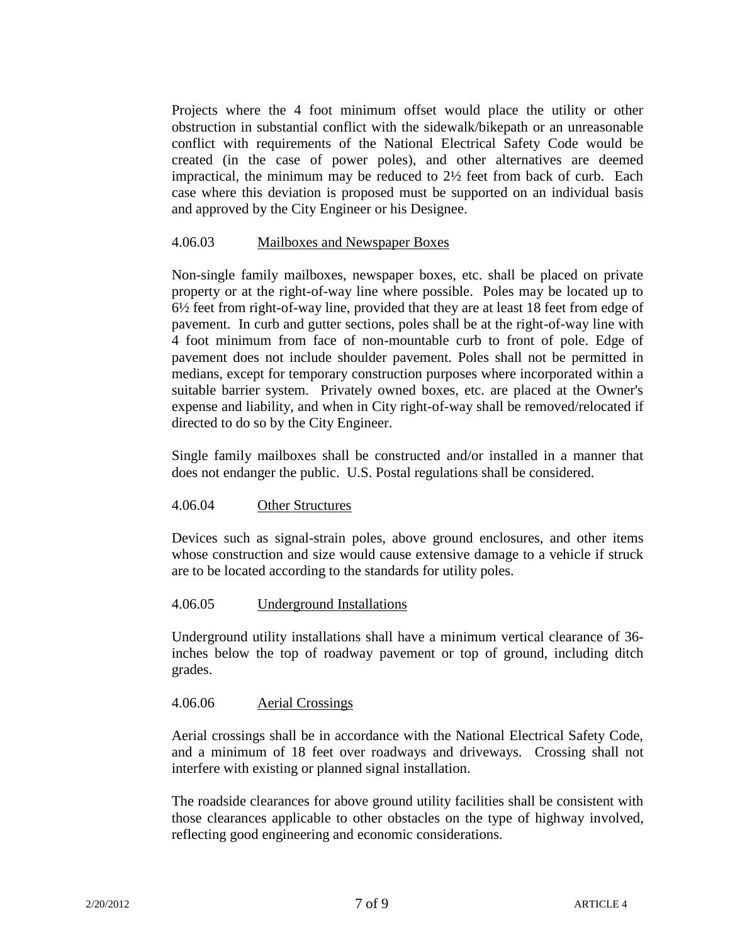Projects where the 4 foot minimum offset would place the utility or other obstruction in substantial conflict with the sidewalk/bikepath or an unreasonable conflict with requirements of the National Electrical Safety Code would be created (in the case of power poles), and other alternatives are deemed impractical, the minimum may be reduced to 2½ feet from back of curb. Each case where this deviation is proposed must be supported on an individual basis and approved by the City Engineer or his Designee.

## 4.06.03 Mailboxes and Newspaper Boxes

Non-single family mailboxes, newspaper boxes, etc. shall be placed on private property or at the right-of-way line where possible. Poles may be located up to 6½ feet from right-of-way line, provided that they are at least 18 feet from edge of pavement. In curb and gutter sections, poles shall be at the right-of-way line with 4 foot minimum from face of non-mountable curb to front of pole. Edge of pavement does not include shoulder pavement. Poles shall not be permitted in medians, except for temporary construction purposes where incorporated within a suitable barrier system. Privately owned boxes, etc. are placed at the Owner's expense and liability, and when in City right-of-way shall be removed/relocated if directed to do so by the City Engineer.

Single family mailboxes shall be constructed and/or installed in a manner that does not endanger the public. U.S. Postal regulations shall be considered.

## 4.06.04 Other Structures

Devices such as signal-strain poles, above ground enclosures, and other items whose construction and size would cause extensive damage to a vehicle if struck are to be located according to the standards for utility poles.

#### 4.06.05 Underground Installations

Underground utility installations shall have a minimum vertical clearance of 36 inches below the top of roadway pavement or top of ground, including ditch grades.

## 4.06.06 Aerial Crossings

Aerial crossings shall be in accordance with the National Electrical Safety Code, and a minimum of 18 feet over roadways and driveways. Crossing shall not interfere with existing or planned signal installation.

The roadside clearances for above ground utility facilities shall be consistent with those clearances applicable to other obstacles on the type of highway involved, reflecting good engineering and economic considerations.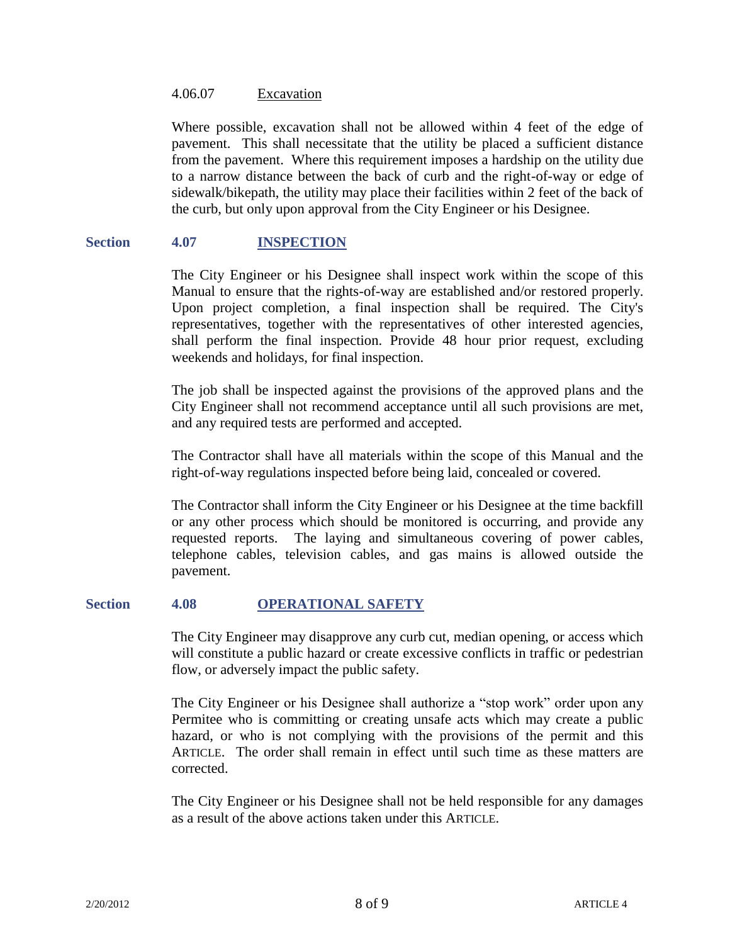#### 4.06.07 Excavation

Where possible, excavation shall not be allowed within 4 feet of the edge of pavement. This shall necessitate that the utility be placed a sufficient distance from the pavement. Where this requirement imposes a hardship on the utility due to a narrow distance between the back of curb and the right-of-way or edge of sidewalk/bikepath, the utility may place their facilities within 2 feet of the back of the curb, but only upon approval from the City Engineer or his Designee.

## **Section 4.07 INSPECTION**

The City Engineer or his Designee shall inspect work within the scope of this Manual to ensure that the rights-of-way are established and/or restored properly. Upon project completion, a final inspection shall be required. The City's representatives, together with the representatives of other interested agencies, shall perform the final inspection. Provide 48 hour prior request, excluding weekends and holidays, for final inspection.

The job shall be inspected against the provisions of the approved plans and the City Engineer shall not recommend acceptance until all such provisions are met, and any required tests are performed and accepted.

The Contractor shall have all materials within the scope of this Manual and the right-of-way regulations inspected before being laid, concealed or covered.

The Contractor shall inform the City Engineer or his Designee at the time backfill or any other process which should be monitored is occurring, and provide any requested reports. The laying and simultaneous covering of power cables, telephone cables, television cables, and gas mains is allowed outside the pavement.

## **Section 4.08 OPERATIONAL SAFETY**

The City Engineer may disapprove any curb cut, median opening, or access which will constitute a public hazard or create excessive conflicts in traffic or pedestrian flow, or adversely impact the public safety.

The City Engineer or his Designee shall authorize a "stop work" order upon any Permitee who is committing or creating unsafe acts which may create a public hazard, or who is not complying with the provisions of the permit and this ARTICLE. The order shall remain in effect until such time as these matters are corrected.

The City Engineer or his Designee shall not be held responsible for any damages as a result of the above actions taken under this ARTICLE.